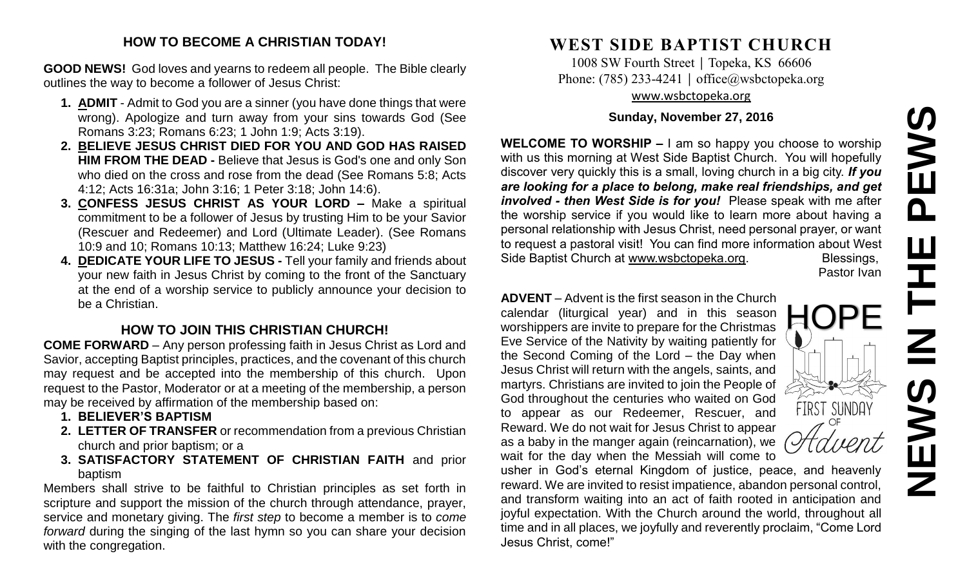# EWS **NEWS IN THE PEWS**  $\overline{\mathbf{a}}$ Ш **NEW**

#### **HOW TO BECOME A CHRISTIAN TODAY!**

**GOOD NEWS!** God loves and yearns to redeem all people. The Bible clearly outlines the way to become a follower of Jesus Christ:

- **1. ADMIT** Admit to God you are a sinner (you have done things that were wrong). Apologize and turn away from your sins towards God (See Romans 3:23; Romans 6:23; 1 John 1:9; Acts 3:19).
- **2. BELIEVE JESUS CHRIST DIED FOR YOU AND GOD HAS RAISED HIM FROM THE DEAD -** Believe that Jesus is God's one and only Son who died on the cross and rose from the dead (See Romans 5:8; Acts 4:12; Acts 16:31a; John 3:16; 1 Peter 3:18; John 14:6).
- **3. CONFESS JESUS CHRIST AS YOUR LORD –** Make a spiritual commitment to be a follower of Jesus by trusting Him to be your Savior (Rescuer and Redeemer) and Lord (Ultimate Leader). (See Romans 10:9 and 10; Romans 10:13; Matthew 16:24; Luke 9:23)
- **4. DEDICATE YOUR LIFE TO JESUS -** Tell your family and friends about your new faith in Jesus Christ by coming to the front of the Sanctuary at the end of a worship service to publicly announce your decision to be a Christian.

# **HOW TO JOIN THIS CHRISTIAN CHURCH!**

**COME FORWARD** – Any person professing faith in Jesus Christ as Lord and Savior, accepting Baptist principles, practices, and the covenant of this church may request and be accepted into the membership of this church. Upon request to the Pastor, Moderator or at a meeting of the membership, a person may be received by affirmation of the membership based on:

- **1. BELIEVER'S BAPTISM**
- **2. LETTER OF TRANSFER** or recommendation from a previous Christian church and prior baptism; or a
- **3. SATISFACTORY STATEMENT OF CHRISTIAN FAITH** and prior baptism

Members shall strive to be faithful to Christian principles as set forth in scripture and support the mission of the church through attendance, prayer, service and monetary giving. The *first step* to become a member is to *come forward* during the singing of the last hymn so you can share your decision with the congregation.

# **WEST SIDE BAPTIST CHURCH**

1008 SW Fourth Street | Topeka, KS 66606 Phone: (785) 233-4241 │ [office@wsbctopeka.org](mailto:office@wsbctopeka.org) [www.wsbctopeka.org](http://www.wsbctopeka.org/)

### **Sunday, November 27, 2016**

**WELCOME TO WORSHIP –** I am so happy you choose to worship with us this morning at West Side Baptist Church. You will hopefully discover very quickly this is a small, loving church in a big city. *If you are looking for a place to belong, make real friendships, and get involved - then West Side is for you!* Please speak with me after the worship service if you would like to learn more about having a personal relationship with Jesus Christ, need personal prayer, or want to request a pastoral visit! You can find more information about West Side Baptist Church at [www.wsbctopeka.org.](http://www.wsbctopeka.org/) Blessings,

Pastor Ivan

**HOPE** 

FIRST SUNDAY

**ADVENT** – Advent is the first season in the Church calendar (liturgical year) and in this season worshippers are invite to prepare for the Christmas Eve Service of the Nativity by waiting patiently for the Second Coming of the Lord – the Day when Jesus Christ will return with the angels, saints, and martyrs. Christians are invited to join the People of God throughout the centuries who waited on God to appear as our Redeemer, Rescuer, and Reward. We do not wait for Jesus Christ to appear as a baby in the manger again (reincarnation), we wait for the day when the Messiah will come to

usher in God's eternal Kingdom of justice, peace, and heavenly reward. We are invited to resist impatience, abandon personal control, and transform waiting into an act of faith rooted in anticipation and joyful expectation. With the Church around the world, throughout all time and in all places, we joyfully and reverently proclaim, "Come Lord Jesus Christ, come!"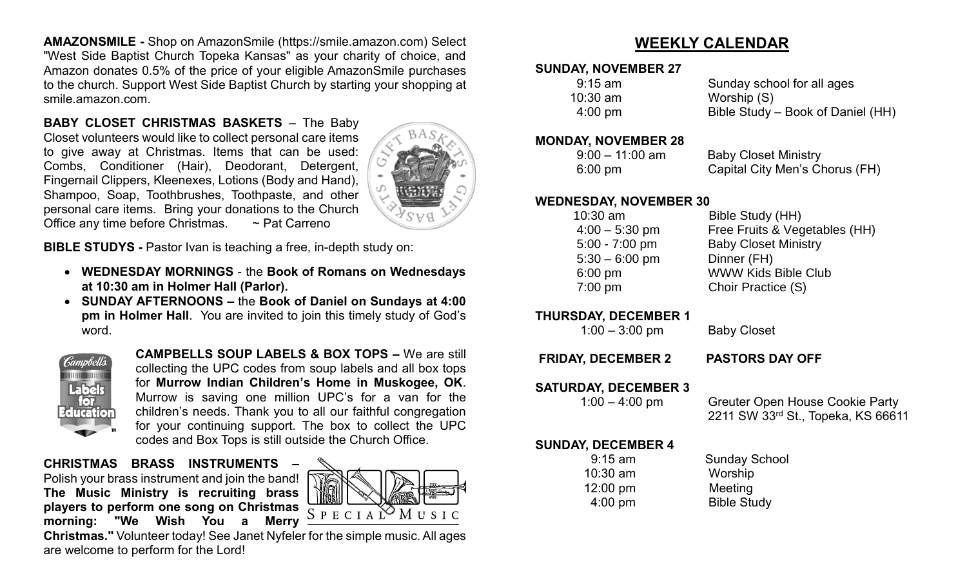**AMAZONSMILE -** Shop on AmazonSmile (https://smile.amazon.com) Select "West Side Baptist Church Topeka Kansas" as your charity of choice, and Amazon donates 0.5% of the price of your eligible AmazonSmile purchases to the church. Support West Side Baptist Church by starting your shopping at smile.amazon.com.

**BABY CLOSET CHRISTMAS BASKETS** – The Baby Closet volunteers would like to collect personal care items to give away at Christmas. Items that can be used: Combs, Conditioner (Hair), Deodorant, Detergent, Fingernail Clippers, Kleenexes, Lotions (Body and Hand), Shampoo, Soap, Toothbrushes, Toothpaste, and other personal care items. Bring your donations to the Church Office any time before Christmas. ~ Pat Carreno



**BIBLE STUDYS -** Pastor Ivan is teaching a free, in-depth study on:

- **WEDNESDAY MORNINGS** the **Book of Romans on Wednesdays at 10:30 am in Holmer Hall (Parlor).**
- **SUNDAY AFTERNOONS –** the **Book of Daniel on Sundays at 4:00 pm in Holmer Hall**. You are invited to join this timely study of God's word.



**CAMPBELLS SOUP LABELS & BOX TOPS –** We are still collecting the UPC codes from soup labels and all box tops for **Murrow Indian Children's Home in Muskogee, OK**. Murrow is saving one million UPC's for a van for the children's needs. Thank you to all our faithful congregation for your continuing support. The box to collect the UPC codes and Box Tops is still outside the Church Office.

**CHRISTMAS BRASS INSTRUMENTS –** Polish your brass instrument and join the band! **The Music Ministry is recruiting brass players to perform one song on Christmas morning: "We Wish You a Merry** 



**Christmas."** Volunteer today! See Janet Nyfeler for the simple music. All ages are welcome to perform for the Lord!

# **WEEKLY CALENDAR**

## **SUNDAY, NOVEMBER 27**

| $9:15$ am         | Sunday school for all ages        |
|-------------------|-----------------------------------|
| $10:30$ am        | Worship (S)                       |
| $4:00 \text{ pm}$ | Bible Study – Book of Daniel (HH) |

#### **MONDAY, NOVEMBER 28**

 9:00 – 11:00 am Baby Closet Ministry 6:00 pm Capital City Men's Chorus (FH)

#### **WEDNESDAY, NOVEMBER 30**

 10:30 am Bible Study (HH) 4:00 – 5:30 pm Free Fruits & Vegetables (HH) 5:00 - 7:00 pm Baby Closet Ministry 5:30 – 6:00 pm Dinner (FH) 6:00 pm WWW Kids Bible Club 7:00 pm Choir Practice (S)

#### **THURSDAY, DECEMBER 1**

1:00 – 3:00 pm Baby Closet

**FRIDAY, DECEMBER 2 PASTORS DAY OFF**

**SATURDAY, DECEMBER 3** 

| $1:00 - 4:00$ pm |  |
|------------------|--|
|                  |  |

Greuter Open House Cookie Party 2211 SW 33rd St., Topeka, KS 66611

# **SUNDAY, DECEMBER 4**

 10:30 am Worship 12:00 pm Meeting 4:00 pm Bible Study

9:15 am Sunday School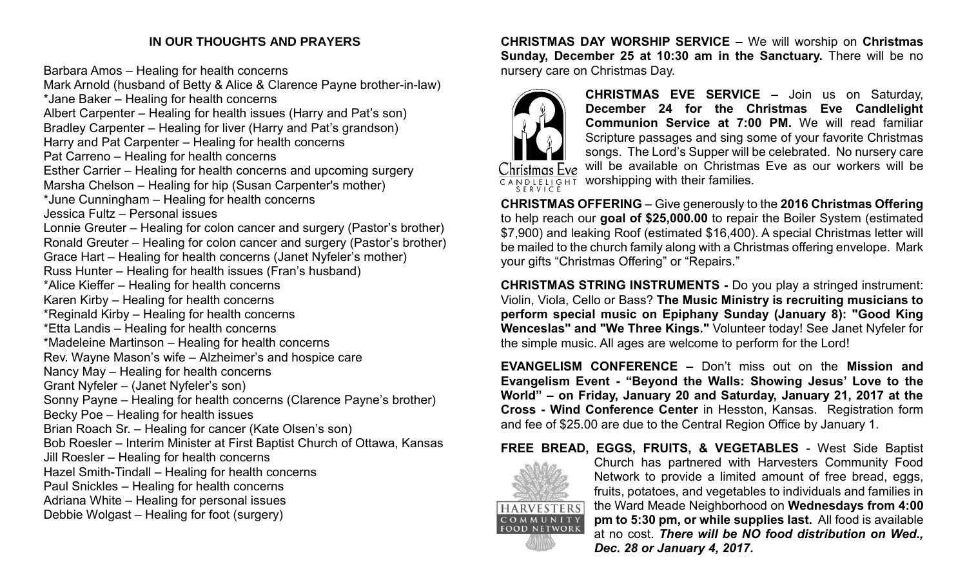# **IN OUR THOUGHTS AND PRAYERS**

Barbara Amos – Healing for health concerns

Mark Arnold (husband of Betty & Alice & Clarence Payne brother-in-law) \*Jane Baker – Healing for health concerns Albert Carpenter – Healing for health issues (Harry and Pat's son) Bradley Carpenter – Healing for liver (Harry and Pat's grandson) Harry and Pat Carpenter – Healing for health concerns Pat Carreno – Healing for health concerns Esther Carrier – Healing for health concerns and upcoming surgery Marsha Chelson – Healing for hip (Susan Carpenter's mother) \*June Cunningham – Healing for health concerns Jessica Fultz – Personal issues Lonnie Greuter – Healing for colon cancer and surgery (Pastor's brother) Ronald Greuter – Healing for colon cancer and surgery (Pastor's brother) Grace Hart – Healing for health concerns (Janet Nyfeler's mother) Russ Hunter – Healing for health issues (Fran's husband) \*Alice Kieffer – Healing for health concerns Karen Kirby – Healing for health concerns \*Reginald Kirby – Healing for health concerns \*Etta Landis – Healing for health concerns \*Madeleine Martinson – Healing for health concerns Rev. Wayne Mason's wife – Alzheimer's and hospice care Nancy May – Healing for health concerns Grant Nyfeler – (Janet Nyfeler's son) Sonny Payne – Healing for health concerns (Clarence Payne's brother) Becky Poe – Healing for health issues Brian Roach Sr. – Healing for cancer (Kate Olsen's son) Bob Roesler – Interim Minister at First Baptist Church of Ottawa, Kansas Jill Roesler – Healing for health concerns Hazel Smith-Tindall – Healing for health concerns Paul Snickles – Healing for health concerns Adriana White – Healing for personal issues Debbie Wolgast – Healing for foot (surgery)

**CHRISTMAS DAY WORSHIP SERVICE –** We will worship on **Christmas Sunday, December 25 at 10:30 am in the Sanctuary.** There will be no nursery care on Christmas Day.



**CHRISTMAS EVE SERVICE –** Join us on Saturday, **December 24 for the Christmas Eve Candlelight Communion Service at 7:00 PM.** We will read familiar Scripture passages and sing some of your favorite Christmas songs. The Lord's Supper will be celebrated. No nursery care will be available on Christmas Eve as our workers will be

 $\sqrt{\frac{CANDLELIGHT}{SERVICE}}$  worshipping with their families.

**CHRISTMAS OFFERING** – Give generously to the **2016 Christmas Offering**  to help reach our **goal of \$25,000.00** to repair the Boiler System (estimated \$7,900) and leaking Roof (estimated \$16,400). A special Christmas letter will be mailed to the church family along with a Christmas offering envelope. Mark your gifts "Christmas Offering" or "Repairs."

**CHRISTMAS STRING INSTRUMENTS -** Do you play a stringed instrument: Violin, Viola, Cello or Bass? **The Music Ministry is recruiting musicians to perform special music on Epiphany Sunday (January 8): "Good King Wenceslas" and "We Three Kings."** Volunteer today! See Janet Nyfeler for the simple music. All ages are welcome to perform for the Lord!

**EVANGELISM CONFERENCE –** Don't miss out on the **Mission and Evangelism Event - "Beyond the Walls: Showing Jesus' Love to the World" – on Friday, January 20 and Saturday, January 21, 2017 at the Cross - Wind Conference Center** in Hesston, Kansas. Registration form and fee of \$25.00 are due to the Central Region Office by January 1.

# **FREE BREAD, EGGS, FRUITS, & VEGETABLES** - West Side Baptist



Church has partnered with Harvesters Community Food Network to provide a limited amount of free bread, eggs, fruits, potatoes, and vegetables to individuals and families in the Ward Meade Neighborhood on **Wednesdays from 4:00 pm to 5:30 pm, or while supplies last.** All food is available at no cost. *There will be NO food distribution on Wed., Dec. 28 or January 4, 2017.*